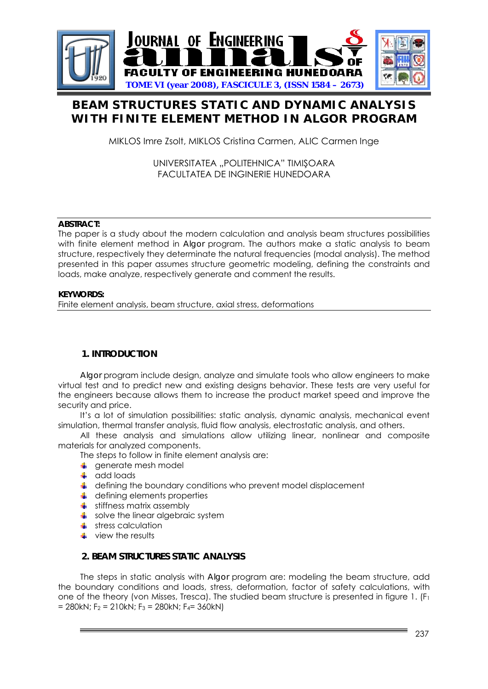

# **BEAM STRUCTURES STATIC AND DYNAMIC ANALYSIS WITH FINITE ELEMENT METHOD IN ALGOR PROGRAM**

MIKLOS Imre Zsolt, MIKLOS Cristina Carmen, ALIC Carmen Inge

UNIVERSITATEA "POLITEHNICA" TIMIŞOARA FACULTATEA DE INGINERIE HUNEDOARA

## **ABSTRACT:**

The paper is a study about the modern calculation and analysis beam structures possibilities with finite element method in *Algor* program. The authors make a static analysis to beam structure, respectively they determinate the natural frequencies (modal analysis). The method presented in this paper assumes structure geometric modeling, defining the constraints and loads, make analyze, respectively generate and comment the results.

## **KEYWORDS:**

Finite element analysis, beam structure, axial stress, deformations

## **1. INTRODUCTION**

*Algor* program include design, analyze and simulate tools who allow engineers to make virtual test and to predict new and existing designs behavior. These tests are very useful for the engineers because allows them to increase the product market speed and improve the security and price.

It's a lot of simulation possibilities: static analysis, dynamic analysis, mechanical event simulation, thermal transfer analysis, fluid flow analysis, electrostatic analysis, and others.

All these analysis and simulations allow utilizing linear, nonlinear and composite materials for analyzed components.

The steps to follow in finite element analysis are:

- $\leftarrow$  generate mesh model
- $\overline{\phantom{a}}$  add loads
- $\downarrow$  defining the boundary conditions who prevent model displacement
- $\downarrow$  defining elements properties
- $\overline{\text{I}}$  stiffness matrix assembly
- $\frac{1}{2}$  solve the linear algebraic system
- $\frac{1}{\sqrt{2}}$  stress calculation
- $\perp$  view the results

## **2. BEAM STRUCTURES STATIC ANALYSIS**

The steps in static analysis with *Algor* program are: modeling the beam structure, add the boundary conditions and loads, stress, deformation, factor of safety calculations, with one of the theory (von Misses, Tresca). The studied beam structure is presented in figure 1.  $(F<sub>1</sub>$  $= 280kN$ ; F<sub>2</sub> = 210kN; F<sub>3</sub> = 280kN; F<sub>4</sub> = 360kN)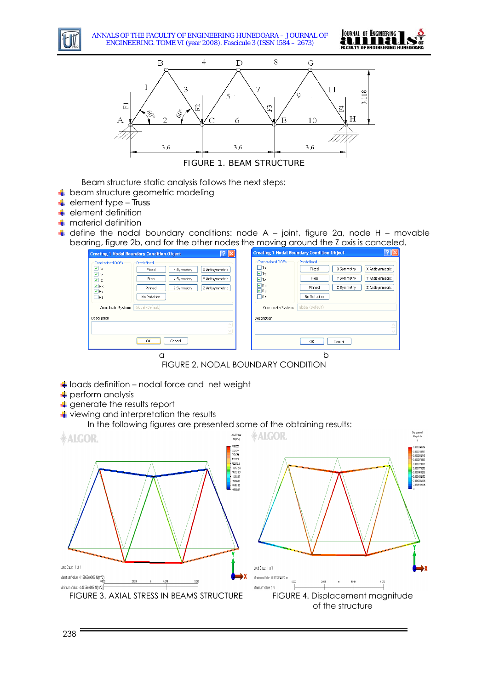

ANNALS OF THE FACULTY OF ENGINEERING HUNEDOARA – JOURNAL OF ENGINEERING. TOME VI (year 2008). Fascicule 3 (ISSN 1584 – 2673)





Beam structure static analysis follows the next steps:

- $\frac{1}{2}$  beam structure geometric modeling
- element type *Truss*
- $\leftarrow$  element definition
- $\blacksquare$  material definition
- $\downarrow$  define the nodal boundary conditions: node A joint, figure 2a, node H movable bearing, figure 2b, and for the other nodes the moving around the Z axis is canceled.

| Predefined<br>Constrained DOFs<br>Predefined<br>Constrained DOFs<br>$\Box$ Tx<br>$\blacksquare$ Tx<br>X Antisymmetric<br>X Symmetry<br>Fixed<br>X Antisymmetric<br>X Symmetry<br>Fixed<br>$\Box$ Ty<br>$\Box$ Ty<br>Y Antisymmetric<br>Y Symmetry<br>Free<br>Y Antisymmetric<br>Y Symmetry<br>Free<br>$\sqrt{Iz}$<br>$\nabla$ Tz<br>$\nabla$ <sub>Rx</sub><br>$\nabla$ <sub>Rx</sub><br>Z Antisymmetric<br>Z Symmetry<br>Z Antisymmetric<br>Pinned<br>Z Symmetry<br>Pinned<br>$\n  Q Ry$<br>$\nabla$ <sub>Ry</sub><br>$\Box$ Rz<br>$\Box$ Rz<br>No Rotation<br>No Rotation<br>Global (Default)<br>Global (Default)<br>Coordinate System:<br>Coordinate System:<br>Description<br>Description<br>$\sim$<br>$-$<br>$\sim$ |
|-------------------------------------------------------------------------------------------------------------------------------------------------------------------------------------------------------------------------------------------------------------------------------------------------------------------------------------------------------------------------------------------------------------------------------------------------------------------------------------------------------------------------------------------------------------------------------------------------------------------------------------------------------------------------------------------------------------------------|
| Cancel<br>OK<br>OK<br>Cancel                                                                                                                                                                                                                                                                                                                                                                                                                                                                                                                                                                                                                                                                                            |

FIGURE 2. NODAL BOUNDARY CONDITION

- $\frac{1}{2}$  loads definition nodal force and net weight
- $\downarrow$  perform analysis
- **4** generate the results report
- $\overline{\text{L}}$  viewing and interpretation the results

### In the following figures are presented some of the obtaining results: